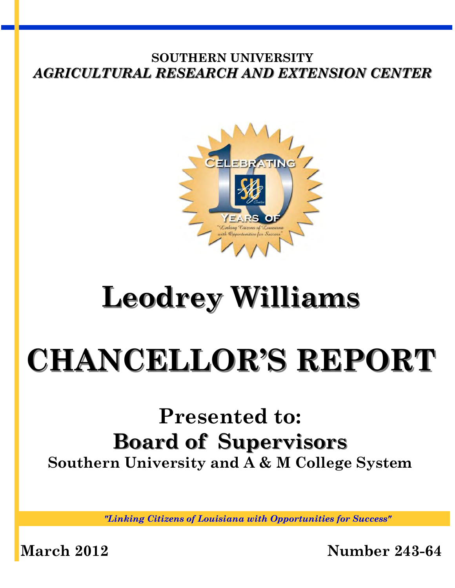

# **Leodrey Williams**

# **CHANCELLOR'S REPORT**

# **Presented to: Board of Supervisors Southern University and A & M College System**

*"Linking Citizens of Louisiana with Opportunities for Success"*

**March 2012 Number 243-64**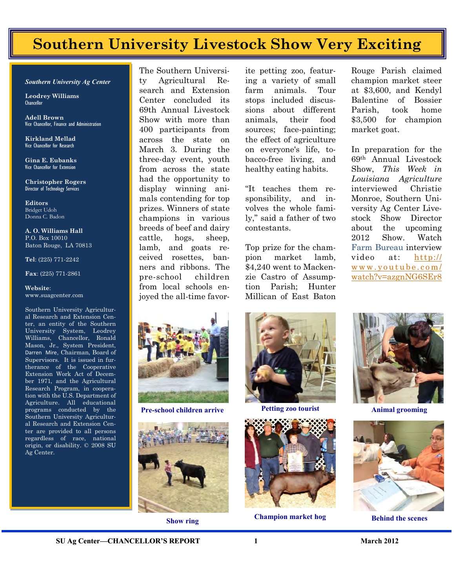## **Southern University Livestock Show Very Exciting**

*Southern University Ag Center* 

**Leodrey Williams**  Chancellor

**Adell Brown** Vice Chancellor, Finance and Administration

**Kirkland Mellad**  Vice Chancellor for Research

**Gina E. Eubanks**  Vice Chancellor for Extension

**Christopher Rogers** Director of Technology Services

**Editors**  Bridget Udoh Donna C. Badon

**A. O. Williams Hall**  P.O. Box 10010 Baton Rouge, LA 70813

**Tel**: (225) 771-2242

**Fax**: (225) 771-2861

#### **Website**: www.suagcenter.com

Southern University Agricultural Research and Extension Center, an entity of the Southern University System, Leodrey Williams, Chancellor, Ronald Mason, Jr., System President, Darren Mire, Chairman, Board of Supervisors. It is issued in furtherance of the Cooperative Extension Work Act of December 1971, and the Agricultural Research Program, in cooperation with the U.S. Department of Agriculture. All educational programs conducted by the Southern University Agricultural Research and Extension Center are provided to all persons regardless of race, national origin, or disability. © 2008 SU Ag Center.

The Southern University Agricultural Research and Extension Center concluded its 69th Annual Livestock Show with more than 400 participants from across the state on March 3. During the three-day event, youth from across the state had the opportunity to display winning animals contending for top prizes. Winners of state champions in various breeds of beef and dairy cattle, hogs, sheep, lamb, and goats received rosettes, banners and ribbons. The pre-school children from local schools enjoyed the all-time favorite petting zoo, featuring a variety of small farm animals. Tour stops included discussions about different animals, their food sources; face-painting; the effect of agriculture on everyone's life, tobacco-free living, and healthy eating habits.

"It teaches them responsibility, and involves the whole family," said a father of two contestants.

Top prize for the champion market lamb, \$4,240 went to Mackenzie Castro of Assumption Parish; Hunter Millican of East Baton Rouge Parish claimed champion market steer at \$3,600, and Kendyl Balentine of Bossier Parish, took home \$3,500 for champion market goat.

In preparation for the 69th Annual Livestock Show, *This Week in Louisiana Agriculture*  interviewed Christie Monroe, Southern University Ag Center Livestock Show Director about the upcoming 2012 Show. Watch Farm Bureau interview video at: [http://](http://www.youtube.com/watch?v=azgnNG6SEr8) [w w w . y o u t u b e . c o m /](http://www.youtube.com/watch?v=azgnNG6SEr8) [watch?v=azgnNG6SEr8](http://www.youtube.com/watch?v=azgnNG6SEr8)



**Pre-school children arrive Petting zoo tourist** Animal grooming







**Show ring Champion market hog Behind the scenes** 



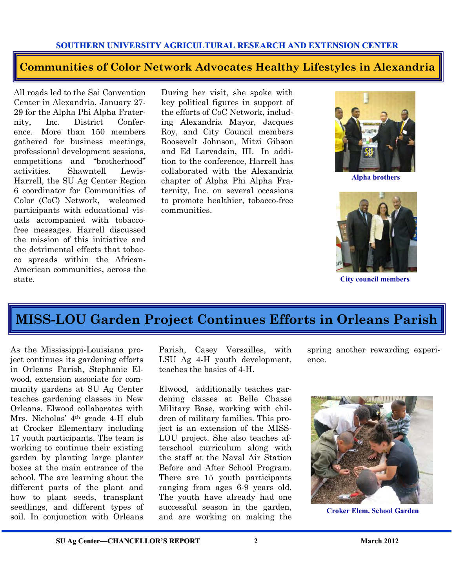### **Communities of Color Network Advocates Healthy Lifestyles in Alexandria**

All roads led to the Sai Convention Center in Alexandria, January 27- 29 for the Alpha Phi Alpha Fraternity, Inc. District Conference. More than 150 members gathered for business meetings, professional development sessions, competitions and "brotherhood" activities. Shawntell Lewis-Harrell, the SU Ag Center Region 6 coordinator for Communities of Color (CoC) Network, welcomed participants with educational visuals accompanied with tobaccofree messages. Harrell discussed the mission of this initiative and the detrimental effects that tobacco spreads within the African-American communities, across the state.

During her visit, she spoke with key political figures in support of the efforts of CoC Network, including Alexandria Mayor, Jacques Roy, and City Council members Roosevelt Johnson, Mitzi Gibson and Ed Larvadain, III. In addition to the conference, Harrell has collaborated with the Alexandria chapter of Alpha Phi Alpha Fraternity, Inc. on several occasions to promote healthier, tobacco-free communities.



**Alpha brothers** 



**City council members** 

### **MISS-LOU Garden Project Continues Efforts in Orleans Parish**

As the Mississippi-Louisiana project continues its gardening efforts in Orleans Parish, Stephanie Elwood, extension associate for community gardens at SU Ag Center teaches gardening classes in New Orleans. Elwood collaborates with Mrs. Nicholas' 4th grade 4-H club at Crocker Elementary including 17 youth participants. The team is working to continue their existing garden by planting large planter boxes at the main entrance of the school. The are learning about the different parts of the plant and how to plant seeds, transplant seedlings, and different types of soil. In conjunction with Orleans

Parish, Casey Versailles, with LSU Ag 4-H youth development, teaches the basics of 4-H.

Elwood, additionally teaches gardening classes at Belle Chasse Military Base, working with children of military families. This project is an extension of the MISS-LOU project. She also teaches afterschool curriculum along with the staff at the Naval Air Station Before and After School Program. There are 15 youth participants ranging from ages 6-9 years old. The youth have already had one successful season in the garden, and are working on making the

spring another rewarding experience.



**Croker Elem. School Garden**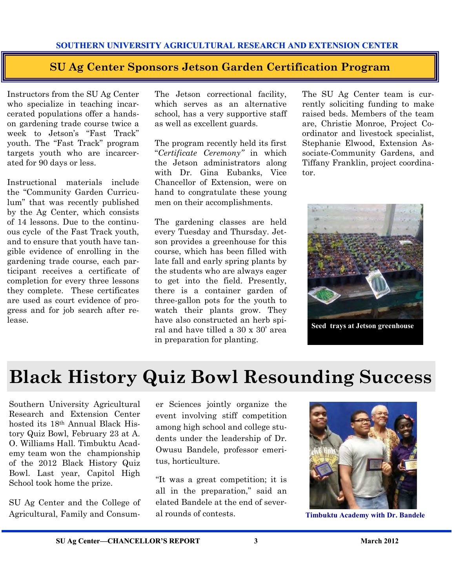### **SU Ag Center Sponsors Jetson Garden Certification Program**

Instructors from the SU Ag Center who specialize in teaching incarcerated populations offer a handson gardening trade course twice a week to Jetson's "Fast Track" youth. The "Fast Track" program targets youth who are incarcerated for 90 days or less.

Instructional materials include the "Community Garden Curriculum" that was recently published by the Ag Center, which consists of 14 lessons. Due to the continuous cycle of the Fast Track youth, and to ensure that youth have tangible evidence of enrolling in the gardening trade course, each participant receives a certificate of completion for every three lessons they complete. These certificates are used as court evidence of progress and for job search after release.

The Jetson correctional facility, which serves as an alternative school, has a very supportive staff as well as excellent guards.

The program recently held its first "*Certificate Ceremony"* in which the Jetson administrators along with Dr. Gina Eubanks, Vice Chancellor of Extension, were on hand to congratulate these young men on their accomplishments.

The gardening classes are held every Tuesday and Thursday. Jetson provides a greenhouse for this course, which has been filled with late fall and early spring plants by the students who are always eager to get into the field. Presently, there is a container garden of three-gallon pots for the youth to watch their plants grow. They have also constructed an herb spiral and have tilled a 30 x 30' area in preparation for planting.

The SU Ag Center team is currently soliciting funding to make raised beds. Members of the team are, Christie Monroe, Project Coordinator and livestock specialist, Stephanie Elwood, Extension Associate-Community Gardens, and Tiffany Franklin, project coordinator.



**Seed trays at Jetson greenhouse** 

# **Black History Quiz Bowl Resounding Success**

Southern University Agricultural Research and Extension Center hosted its 18th Annual Black History Quiz Bowl, February 23 at A. O. Williams Hall. Timbuktu Academy team won the championship of the 2012 Black History Quiz Bowl. Last year, Capitol High School took home the prize.

SU Ag Center and the College of Agricultural, Family and Consum-

er Sciences jointly organize the event involving stiff competition among high school and college students under the leadership of Dr. Owusu Bandele, professor emeritus, horticulture.

"It was a great competition; it is all in the preparation," said an elated Bandele at the end of several rounds of contests.



**Timbuktu Academy with Dr. Bandele**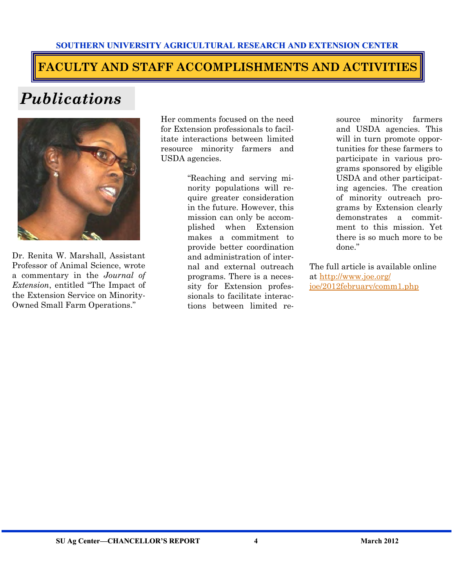### **FACULTY AND STAFF ACCOMPLISHMENTS AND ACTIVITIES**

# *Publications*



Dr. Renita W. Marshall, Assistant Professor of Animal Science, wrote a commentary in the *Journal of Extension*, entitled "The Impact of the Extension Service on Minority-Owned Small Farm Operations."

Her comments focused on the need for Extension professionals to facilitate interactions between limited resource minority farmers and USDA agencies.

> "Reaching and serving minority populations will require greater consideration in the future. However, this mission can only be accomplished when Extension makes a commitment to provide better coordination and administration of internal and external outreach programs. There is a necessity for Extension professionals to facilitate interactions between limited re-

source minority farmers and USDA agencies. This will in turn promote opportunities for these farmers to participate in various programs sponsored by eligible USDA and other participating agencies. The creation of minority outreach programs by Extension clearly demonstrates a commitment to this mission. Yet there is so much more to be done."

The full article is available online at [http://www.joe.org/](http://www.joe.org/joe/2012february/comm1.php)  [joe/2012february/comm1.php](http://www.joe.org/joe/2012february/comm1.php)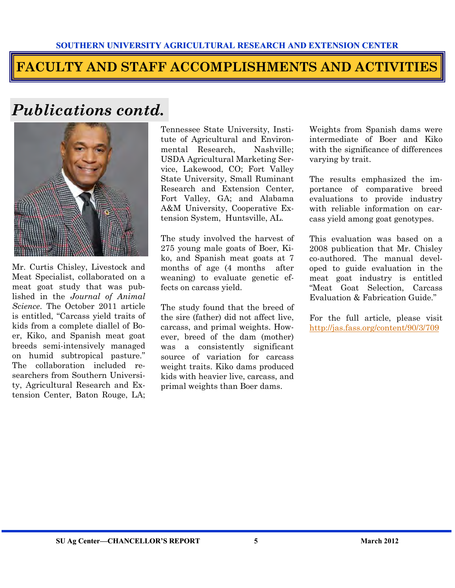### **FACULTY AND STAFF ACCOMPLISHMENTS AND ACTIVITIES**

# *Publications contd.*



Mr. Curtis Chisley, Livestock and Meat Specialist, collaborated on a meat goat study that was published in the *Journal of Animal Science*. The October 2011 article is entitled, "Carcass yield traits of kids from a complete diallel of Boer, Kiko, and Spanish meat goat breeds semi-intensively managed on humid subtropical pasture." The collaboration included researchers from Southern University, Agricultural Research and Extension Center, Baton Rouge, LA;

Tennessee State University, Institute of Agricultural and Environmental Research, Nashville; USDA Agricultural Marketing Service, Lakewood, CO; Fort Valley State University, Small Ruminant Research and Extension Center, Fort Valley, GA; and Alabama A&M University, Cooperative Extension System, Huntsville, AL.

The study involved the harvest of 275 young male goats of Boer, Kiko, and Spanish meat goats at 7 months of age (4 months after weaning) to evaluate genetic effects on carcass yield.

The study found that the breed of the sire (father) did not affect live, carcass, and primal weights. However, breed of the dam (mother) was a consistently significant source of variation for carcass weight traits. Kiko dams produced kids with heavier live, carcass, and primal weights than Boer dams.

Weights from Spanish dams were intermediate of Boer and Kiko with the significance of differences varying by trait.

The results emphasized the importance of comparative breed evaluations to provide industry with reliable information on carcass yield among goat genotypes.

This evaluation was based on a 2008 publication that Mr. Chisley co-authored. The manual developed to guide evaluation in the meat goat industry is entitled "Meat Goat Selection, Carcass Evaluation & Fabrication Guide."

For the full article, please visit <http://jas.fass.org/content/90/3/709>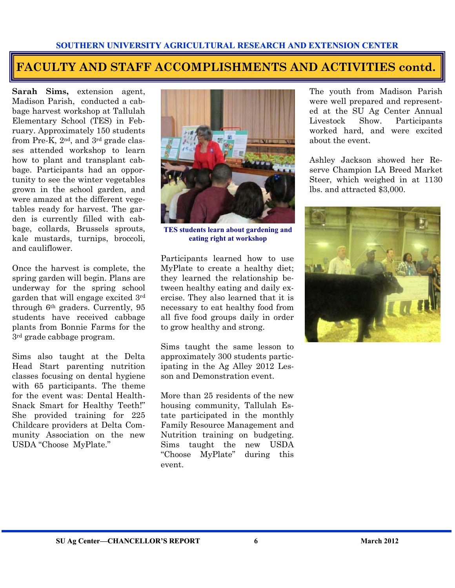### **FACULTY AND STAFF ACCOMPLISHMENTS AND ACTIVITIES contd.**

**Sarah Sims,** extension agent, Madison Parish, conducted a cabbage harvest workshop at Tallulah Elementary School (TES) in February. Approximately 150 students from Pre-K,  $2^{nd}$ , and  $3^{rd}$  grade classes attended workshop to learn how to plant and transplant cabbage. Participants had an opportunity to see the winter vegetables grown in the school garden, and were amazed at the different vegetables ready for harvest. The garden is currently filled with cabbage, collards, Brussels sprouts, kale mustards, turnips, broccoli, and cauliflower.

Once the harvest is complete, the spring garden will begin. Plans are underway for the spring school garden that will engage excited 3rd through 6th graders. Currently, 95 students have received cabbage plants from Bonnie Farms for the 3rd grade cabbage program.

Sims also taught at the Delta Head Start parenting nutrition classes focusing on dental hygiene with 65 participants. The theme for the event was: Dental Health-Snack Smart for Healthy Teeth!" She provided training for 225 Childcare providers at Delta Community Association on the new USDA "Choose MyPlate."



**TES students learn about gardening and eating right at workshop** 

Participants learned how to use MyPlate to create a healthy diet; they learned the relationship between healthy eating and daily exercise. They also learned that it is necessary to eat healthy food from all five food groups daily in order to grow healthy and strong.

Sims taught the same lesson to approximately 300 students participating in the Ag Alley 2012 Lesson and Demonstration event.

More than 25 residents of the new housing community, Tallulah Estate participated in the monthly Family Resource Management and Nutrition training on budgeting. Sims taught the new USDA "Choose MyPlate" during this event.

The youth from Madison Parish were well prepared and represented at the SU Ag Center Annual Livestock Show. Participants worked hard, and were excited about the event.

Ashley Jackson showed her Reserve Champion LA Breed Market Steer, which weighed in at 1130 lbs. and attracted \$3,000.

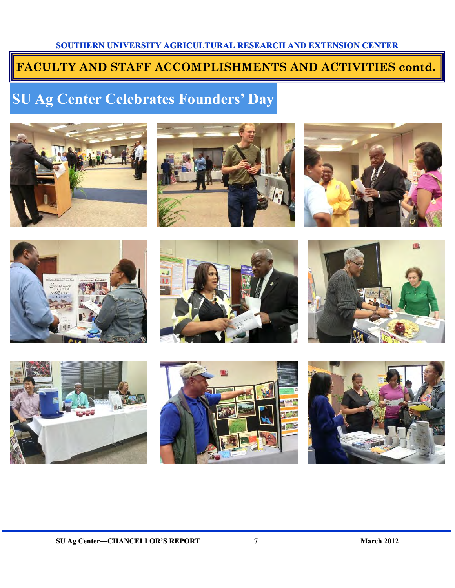### **FACULTY AND STAFF ACCOMPLISHMENTS AND ACTIVITIES contd.**

# **SU Ag Center Celebrates Founders' Day**

















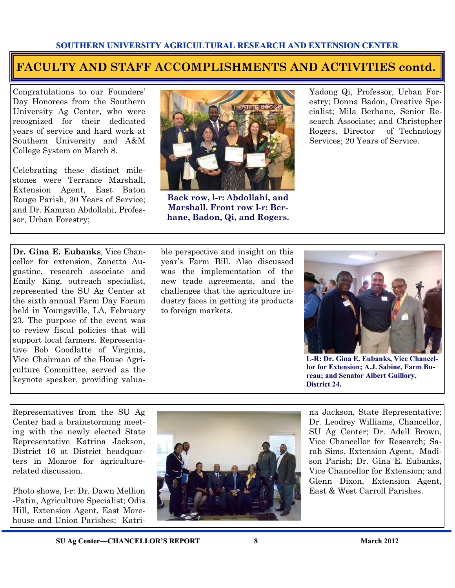### **FACULTY AND STAFF ACCOMPLISHMENTS AND ACTIVITIES contd.**

Congratulations to our Founders' Day Honorees from the Southern University Ag Center, who were recognized for their dedicated years of service and hard work at Southern University and A&M College System on March 8.

Celebrating these distinct milestones were Terrance Marshall, Extension Agent, East Baton Rouge Parish, 30 Years of Service; and Dr. Kamran Abdollahi, Professor, Urban Forestry;

**Dr. Gina E. Eubanks**, Vice Chancellor for extension, Zanetta Augustine, research associate and Emily King, outreach specialist, represented the SU Ag Center at the sixth annual Farm Day Forum held in Youngsville, LA, February 23. The purpose of the event was to review fiscal policies that will support local farmers. Representative Bob Goodlatte of Virginia, Vice Chairman of the House Agriculture Committee, served as the keynote speaker, providing valua-



**Back row, l-r: Abdollahi, and Marshall. Front row l-r: Berhane, Badon, Qi, and Rogers.**

Yadong Qi, Professor, Urban Forestry; Donna Badon, Creative Specialist; Mila Berhane, Senior Research Associate; and Christopher Rogers, Director of Technology Services; 20 Years of Service.

ble perspective and insight on this year's Farm Bill. Also discussed was the implementation of the new trade agreements, and the challenges that the agriculture industry faces in getting its products to foreign markets.



**L-R: Dr. Gina E. Eubanks, Vice Chancellor for Extension; A.J. Sabine, Farm Bureau; and Senator Albert Guillory, District 24.** 

Representatives from the SU Ag Center had a brainstorming meeting with the newly elected State Representative Katrina Jackson, District 16 at District headquarters in Monroe for agriculturerelated discussion.

Photo shows, l-r: Dr. Dawn Mellion -Patin, Agriculture Specialist; Odis Hill, Extension Agent, East Morehouse and Union Parishes; Katri-



na Jackson, State Representative; Dr. Leodrey Williams, Chancellor, SU Ag Center; Dr. Adell Brown, Vice Chancellor for Research; Sarah Sims, Extension Agent, Madison Parish; Dr. Gina E. Eubanks, Vice Chancellor for Extension; and Glenn Dixon, Extension Agent, East & West Carroll Parishes.